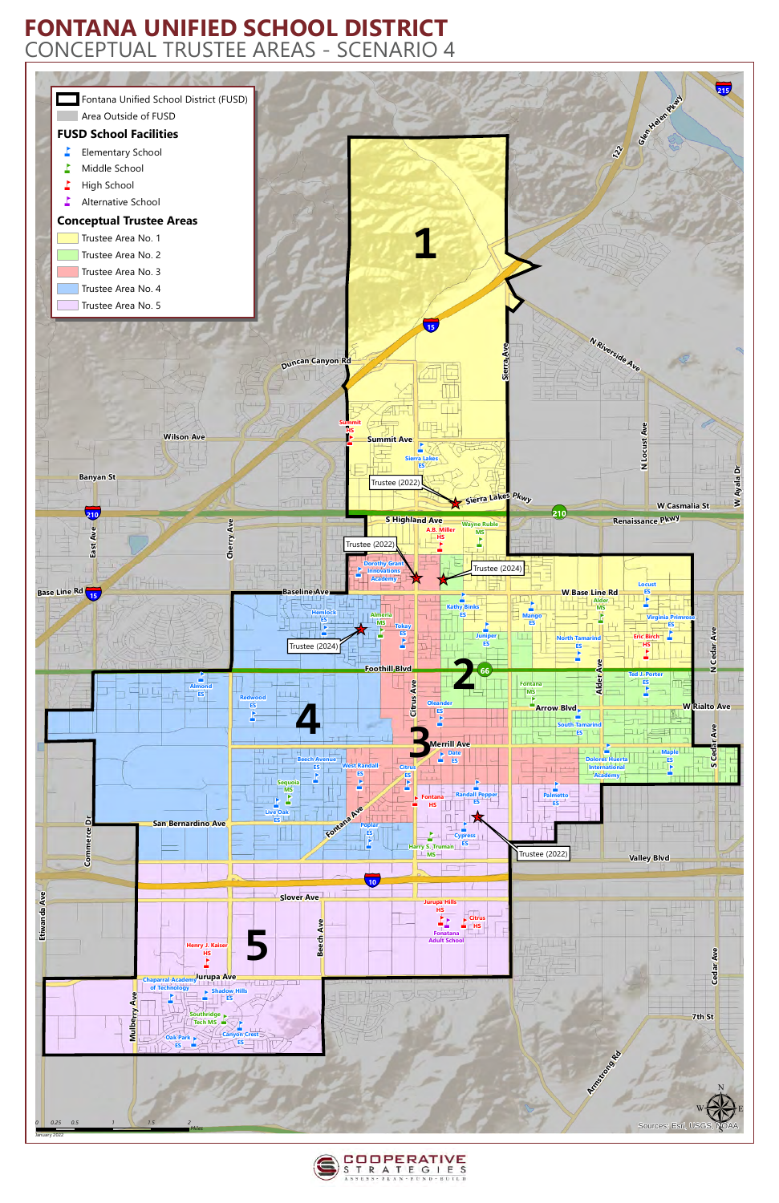



## **FONTANA UNIFIED SCHOOL DISTRICT** CONCEPTUAL TRUSTEE AREAS - SCENARIO 4